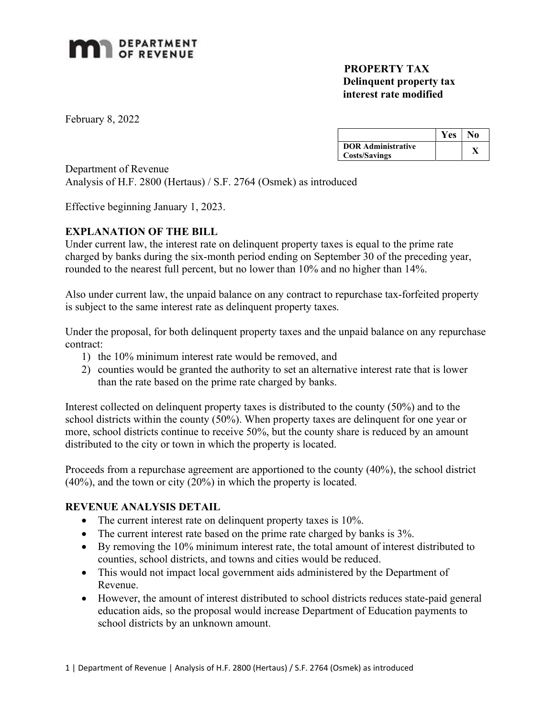

## PROPERTY TAX Delinquent property tax interest rate modified

February 8, 2022

|                           | Yes <sub>1</sub> | N <sub>0</sub> |
|---------------------------|------------------|----------------|
| <b>DOR Administrative</b> |                  |                |
| <b>Costs/Savings</b>      |                  |                |

Department of Revenue Analysis of H.F. 2800 (Hertaus) / S.F. 2764 (Osmek) as introduced

Effective beginning January 1, 2023.

## EXPLANATION OF THE BILL

Under current law, the interest rate on delinquent property taxes is equal to the prime rate charged by banks during the six-month period ending on September 30 of the preceding year, rounded to the nearest full percent, but no lower than 10% and no higher than 14%.

Also under current law, the unpaid balance on any contract to repurchase tax-forfeited property is subject to the same interest rate as delinquent property taxes.

Under the proposal, for both delinquent property taxes and the unpaid balance on any repurchase contract:

- 1) the 10% minimum interest rate would be removed, and
- 2) counties would be granted the authority to set an alternative interest rate that is lower than the rate based on the prime rate charged by banks.

Interest collected on delinquent property taxes is distributed to the county (50%) and to the school districts within the county (50%). When property taxes are delinquent for one year or more, school districts continue to receive 50%, but the county share is reduced by an amount distributed to the city or town in which the property is located.

Proceeds from a repurchase agreement are apportioned to the county (40%), the school district (40%), and the town or city (20%) in which the property is located.

## REVENUE ANALYSIS DETAIL

- The current interest rate on delinquent property taxes is 10%.
- The current interest rate based on the prime rate charged by banks is 3%.
- By removing the 10% minimum interest rate, the total amount of interest distributed to counties, school districts, and towns and cities would be reduced.
- This would not impact local government aids administered by the Department of Revenue.
- However, the amount of interest distributed to school districts reduces state-paid general education aids, so the proposal would increase Department of Education payments to school districts by an unknown amount.